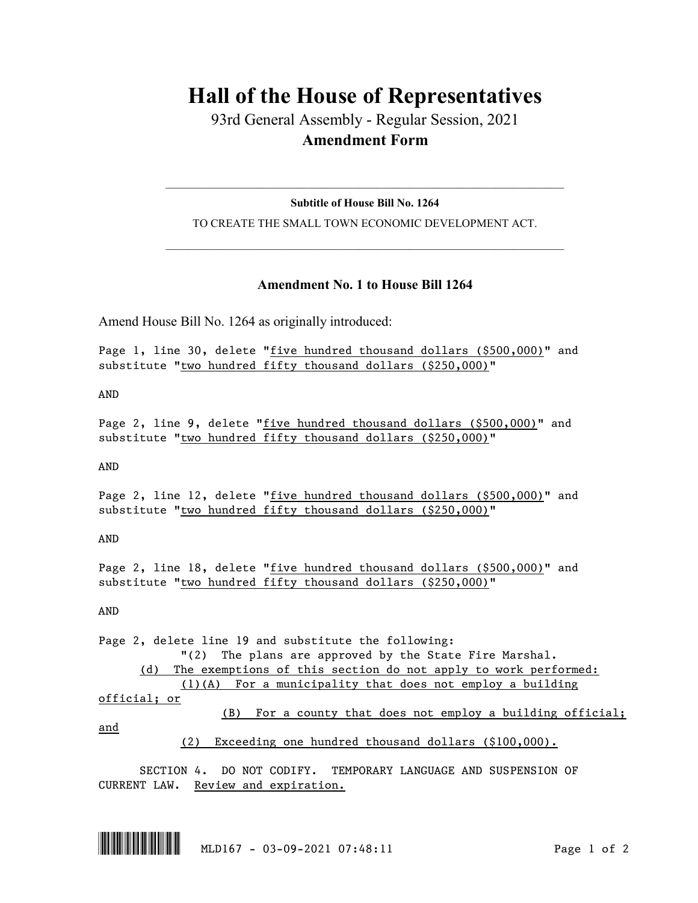## **Hall of the House of Representatives**

93rd General Assembly - Regular Session, 2021 **Amendment Form**

## $\_$  , and the set of the set of the set of the set of the set of the set of the set of the set of the set of the set of the set of the set of the set of the set of the set of the set of the set of the set of the set of th **Subtitle of House Bill No. 1264**

TO CREATE THE SMALL TOWN ECONOMIC DEVELOPMENT ACT.  $\_$  , and the set of the set of the set of the set of the set of the set of the set of the set of the set of the set of the set of the set of the set of the set of the set of the set of the set of the set of the set of th

## **Amendment No. 1 to House Bill 1264**

Amend House Bill No. 1264 as originally introduced:

Page 1, line 30, delete "five hundred thousand dollars (\$500,000)" and substitute "two hundred fifty thousand dollars (\$250,000)"

AND

Page 2, line 9, delete "five hundred thousand dollars (\$500,000)" and substitute "two hundred fifty thousand dollars (\$250,000)"

AND

Page 2, line 12, delete "five hundred thousand dollars (\$500,000)" and substitute "two hundred fifty thousand dollars (\$250,000)"

AND

Page 2, line 18, delete "five hundred thousand dollars (\$500,000)" and substitute "two hundred fifty thousand dollars (\$250,000)"

AND

Page 2, delete line 19 and substitute the following: "(2) The plans are approved by the State Fire Marshal. (d) The exemptions of this section do not apply to work performed: (1)(A) For a municipality that does not employ a building official; or (B) For a county that does not employ a building official; and (2) Exceeding one hundred thousand dollars (\$100,000).

SECTION 4. DO NOT CODIFY. TEMPORARY LANGUAGE AND SUSPENSION OF CURRENT LAW. Review and expiration.